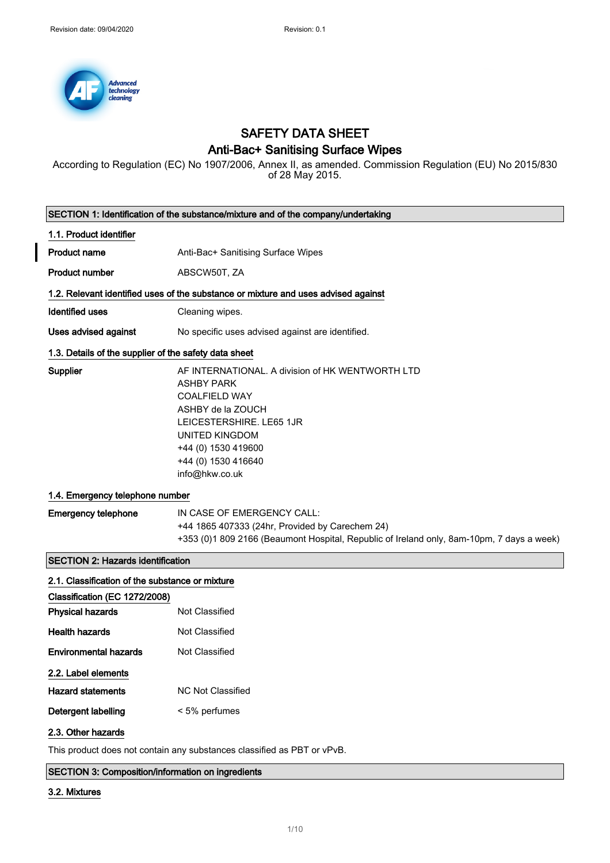

# SAFETY DATA SHEET

# Anti-Bac+ Sanitising Surface Wipes

According to Regulation (EC) No 1907/2006, Annex II, as amended. Commission Regulation (EU) No 2015/830 of 28 May 2015.

|                                                                                  | SECTION 1: Identification of the substance/mixture and of the company/undertaking                                                                                                                                                |  |  |
|----------------------------------------------------------------------------------|----------------------------------------------------------------------------------------------------------------------------------------------------------------------------------------------------------------------------------|--|--|
| 1.1. Product identifier                                                          |                                                                                                                                                                                                                                  |  |  |
| <b>Product name</b>                                                              | Anti-Bac+ Sanitising Surface Wipes                                                                                                                                                                                               |  |  |
| <b>Product number</b>                                                            | ABSCW50T, ZA                                                                                                                                                                                                                     |  |  |
|                                                                                  | 1.2. Relevant identified uses of the substance or mixture and uses advised against                                                                                                                                               |  |  |
| <b>Identified uses</b>                                                           | Cleaning wipes.                                                                                                                                                                                                                  |  |  |
| Uses advised against                                                             | No specific uses advised against are identified.                                                                                                                                                                                 |  |  |
| 1.3. Details of the supplier of the safety data sheet                            |                                                                                                                                                                                                                                  |  |  |
| Supplier                                                                         | AF INTERNATIONAL. A division of HK WENTWORTH LTD<br><b>ASHBY PARK</b><br><b>COALFIELD WAY</b><br>ASHBY de la ZOUCH<br>LEICESTERSHIRE. LE65 1JR<br>UNITED KINGDOM<br>+44 (0) 1530 419600<br>+44 (0) 1530 416640<br>info@hkw.co.uk |  |  |
| 1.4. Emergency telephone number                                                  |                                                                                                                                                                                                                                  |  |  |
| <b>Emergency telephone</b>                                                       | IN CASE OF EMERGENCY CALL:<br>+44 1865 407333 (24hr, Provided by Carechem 24)<br>+353 (0)1 809 2166 (Beaumont Hospital, Republic of Ireland only, 8am-10pm, 7 days a week)                                                       |  |  |
| <b>SECTION 2: Hazards identification</b>                                         |                                                                                                                                                                                                                                  |  |  |
| 2.1. Classification of the substance or mixture<br>Classification (EC 1272/2008) |                                                                                                                                                                                                                                  |  |  |
| <b>Physical hazards</b>                                                          | <b>Not Classified</b>                                                                                                                                                                                                            |  |  |
| <b>Health hazards</b>                                                            | <b>Not Classified</b>                                                                                                                                                                                                            |  |  |
| <b>Environmental hazards</b>                                                     | <b>Not Classified</b>                                                                                                                                                                                                            |  |  |
| 2.2. Label elements                                                              |                                                                                                                                                                                                                                  |  |  |
| <b>Hazard statements</b>                                                         | <b>NC Not Classified</b>                                                                                                                                                                                                         |  |  |
| Detergent labelling                                                              | < 5% perfumes                                                                                                                                                                                                                    |  |  |
| 2.3. Other hazards                                                               |                                                                                                                                                                                                                                  |  |  |

This product does not contain any substances classified as PBT or vPvB.

SECTION 3: Composition/information on ingredients

## 3.2. Mixtures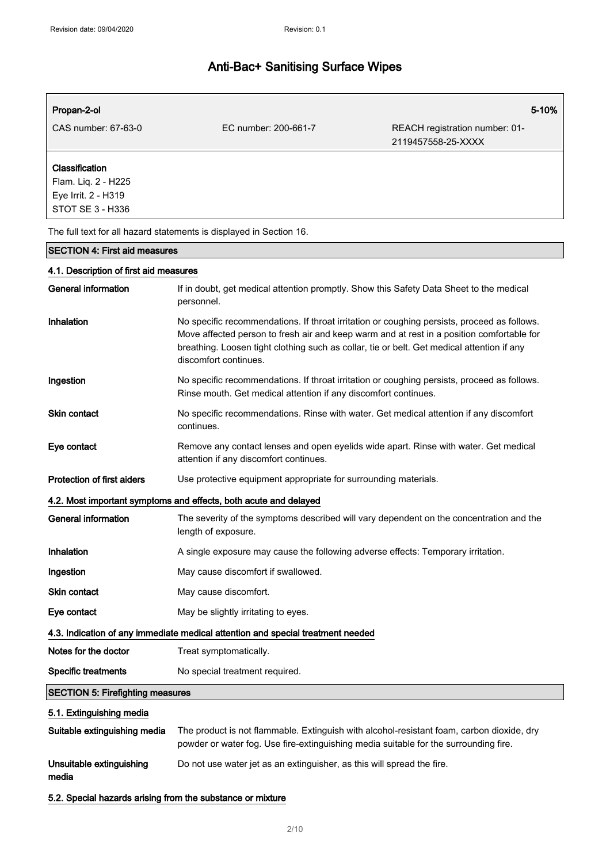| Propan-2-ol                                                |                                                                                                                                                                                                                                                                                                                 | 5-10%                                                |
|------------------------------------------------------------|-----------------------------------------------------------------------------------------------------------------------------------------------------------------------------------------------------------------------------------------------------------------------------------------------------------------|------------------------------------------------------|
| CAS number: 67-63-0                                        | EC number: 200-661-7                                                                                                                                                                                                                                                                                            | REACH registration number: 01-<br>2119457558-25-XXXX |
| Classification                                             |                                                                                                                                                                                                                                                                                                                 |                                                      |
| Flam. Liq. 2 - H225                                        |                                                                                                                                                                                                                                                                                                                 |                                                      |
| Eye Irrit. 2 - H319<br>STOT SE 3 - H336                    |                                                                                                                                                                                                                                                                                                                 |                                                      |
|                                                            |                                                                                                                                                                                                                                                                                                                 |                                                      |
|                                                            | The full text for all hazard statements is displayed in Section 16.                                                                                                                                                                                                                                             |                                                      |
| <b>SECTION 4: First aid measures</b>                       |                                                                                                                                                                                                                                                                                                                 |                                                      |
| 4.1. Description of first aid measures                     |                                                                                                                                                                                                                                                                                                                 |                                                      |
| General information                                        | If in doubt, get medical attention promptly. Show this Safety Data Sheet to the medical<br>personnel.                                                                                                                                                                                                           |                                                      |
| Inhalation                                                 | No specific recommendations. If throat irritation or coughing persists, proceed as follows.<br>Move affected person to fresh air and keep warm and at rest in a position comfortable for<br>breathing. Loosen tight clothing such as collar, tie or belt. Get medical attention if any<br>discomfort continues. |                                                      |
| Ingestion                                                  | No specific recommendations. If throat irritation or coughing persists, proceed as follows.<br>Rinse mouth. Get medical attention if any discomfort continues.                                                                                                                                                  |                                                      |
| Skin contact                                               | No specific recommendations. Rinse with water. Get medical attention if any discomfort<br>continues.                                                                                                                                                                                                            |                                                      |
| Eye contact                                                | Remove any contact lenses and open eyelids wide apart. Rinse with water. Get medical<br>attention if any discomfort continues.                                                                                                                                                                                  |                                                      |
| <b>Protection of first aiders</b>                          | Use protective equipment appropriate for surrounding materials.                                                                                                                                                                                                                                                 |                                                      |
|                                                            | 4.2. Most important symptoms and effects, both acute and delayed                                                                                                                                                                                                                                                |                                                      |
| <b>General information</b>                                 | The severity of the symptoms described will vary dependent on the concentration and the<br>length of exposure.                                                                                                                                                                                                  |                                                      |
| Inhalation                                                 | A single exposure may cause the following adverse effects: Temporary irritation.                                                                                                                                                                                                                                |                                                      |
| Ingestion                                                  | May cause discomfort if swallowed.                                                                                                                                                                                                                                                                              |                                                      |
| Skin contact                                               | May cause discomfort.                                                                                                                                                                                                                                                                                           |                                                      |
| Eye contact                                                | May be slightly irritating to eyes.                                                                                                                                                                                                                                                                             |                                                      |
|                                                            | 4.3. Indication of any immediate medical attention and special treatment needed                                                                                                                                                                                                                                 |                                                      |
| Notes for the doctor                                       | Treat symptomatically.                                                                                                                                                                                                                                                                                          |                                                      |
| <b>Specific treatments</b>                                 | No special treatment required.                                                                                                                                                                                                                                                                                  |                                                      |
| <b>SECTION 5: Firefighting measures</b>                    |                                                                                                                                                                                                                                                                                                                 |                                                      |
| 5.1. Extinguishing media                                   |                                                                                                                                                                                                                                                                                                                 |                                                      |
| Suitable extinguishing media                               | The product is not flammable. Extinguish with alcohol-resistant foam, carbon dioxide, dry<br>powder or water fog. Use fire-extinguishing media suitable for the surrounding fire.                                                                                                                               |                                                      |
| Unsuitable extinguishing<br>media                          | Do not use water jet as an extinguisher, as this will spread the fire.                                                                                                                                                                                                                                          |                                                      |
| 5.2. Special hazards arising from the substance or mixture |                                                                                                                                                                                                                                                                                                                 |                                                      |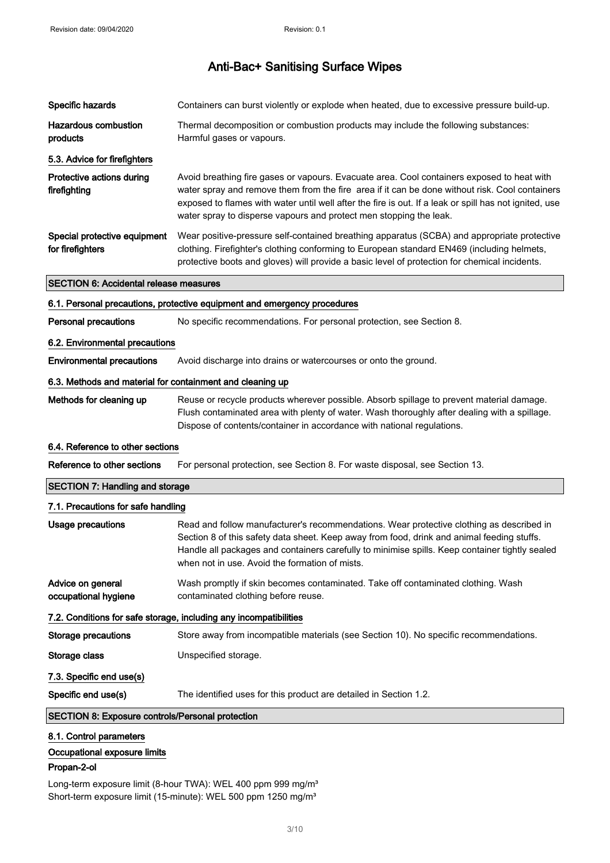| Specific hazards                                          | Containers can burst violently or explode when heated, due to excessive pressure build-up.                                                                                                                                                                                                                                                                                   |
|-----------------------------------------------------------|------------------------------------------------------------------------------------------------------------------------------------------------------------------------------------------------------------------------------------------------------------------------------------------------------------------------------------------------------------------------------|
| <b>Hazardous combustion</b><br>products                   | Thermal decomposition or combustion products may include the following substances:<br>Harmful gases or vapours.                                                                                                                                                                                                                                                              |
| 5.3. Advice for firefighters                              |                                                                                                                                                                                                                                                                                                                                                                              |
| Protective actions during<br>firefighting                 | Avoid breathing fire gases or vapours. Evacuate area. Cool containers exposed to heat with<br>water spray and remove them from the fire area if it can be done without risk. Cool containers<br>exposed to flames with water until well after the fire is out. If a leak or spill has not ignited, use<br>water spray to disperse vapours and protect men stopping the leak. |
| Special protective equipment<br>for firefighters          | Wear positive-pressure self-contained breathing apparatus (SCBA) and appropriate protective<br>clothing. Firefighter's clothing conforming to European standard EN469 (including helmets,<br>protective boots and gloves) will provide a basic level of protection for chemical incidents.                                                                                   |
| <b>SECTION 6: Accidental release measures</b>             |                                                                                                                                                                                                                                                                                                                                                                              |
|                                                           | 6.1. Personal precautions, protective equipment and emergency procedures                                                                                                                                                                                                                                                                                                     |
| <b>Personal precautions</b>                               | No specific recommendations. For personal protection, see Section 8.                                                                                                                                                                                                                                                                                                         |
| 6.2. Environmental precautions                            |                                                                                                                                                                                                                                                                                                                                                                              |
| <b>Environmental precautions</b>                          | Avoid discharge into drains or watercourses or onto the ground.                                                                                                                                                                                                                                                                                                              |
| 6.3. Methods and material for containment and cleaning up |                                                                                                                                                                                                                                                                                                                                                                              |
| Methods for cleaning up                                   | Reuse or recycle products wherever possible. Absorb spillage to prevent material damage.<br>Flush contaminated area with plenty of water. Wash thoroughly after dealing with a spillage.<br>Dispose of contents/container in accordance with national regulations.                                                                                                           |
| 6.4. Reference to other sections                          |                                                                                                                                                                                                                                                                                                                                                                              |
| Reference to other sections                               | For personal protection, see Section 8. For waste disposal, see Section 13.                                                                                                                                                                                                                                                                                                  |
| <b>SECTION 7: Handling and storage</b>                    |                                                                                                                                                                                                                                                                                                                                                                              |
| 7.1. Precautions for safe handling                        |                                                                                                                                                                                                                                                                                                                                                                              |
| <b>Usage precautions</b>                                  | Read and follow manufacturer's recommendations. Wear protective clothing as described in<br>Section 8 of this safety data sheet. Keep away from food, drink and animal feeding stuffs.<br>Handle all packages and containers carefully to minimise spills. Keep container tightly sealed<br>when not in use. Avoid the formation of mists.                                   |
| Advice on general<br>occupational hygiene                 | Wash promptly if skin becomes contaminated. Take off contaminated clothing. Wash<br>contaminated clothing before reuse.                                                                                                                                                                                                                                                      |
|                                                           | 7.2. Conditions for safe storage, including any incompatibilities                                                                                                                                                                                                                                                                                                            |
| <b>Storage precautions</b>                                | Store away from incompatible materials (see Section 10). No specific recommendations.                                                                                                                                                                                                                                                                                        |

Storage class **Unspecified storage.** 

7.3. Specific end use(s)

Specific end use(s) The identified uses for this product are detailed in Section 1.2.

## SECTION 8: Exposure controls/Personal protection

## 8.1. Control parameters

Occupational exposure limits

### Propan-2-ol

Long-term exposure limit (8-hour TWA): WEL 400 ppm 999 mg/m<sup>3</sup> Short-term exposure limit (15-minute): WEL 500 ppm 1250 mg/m<sup>3</sup>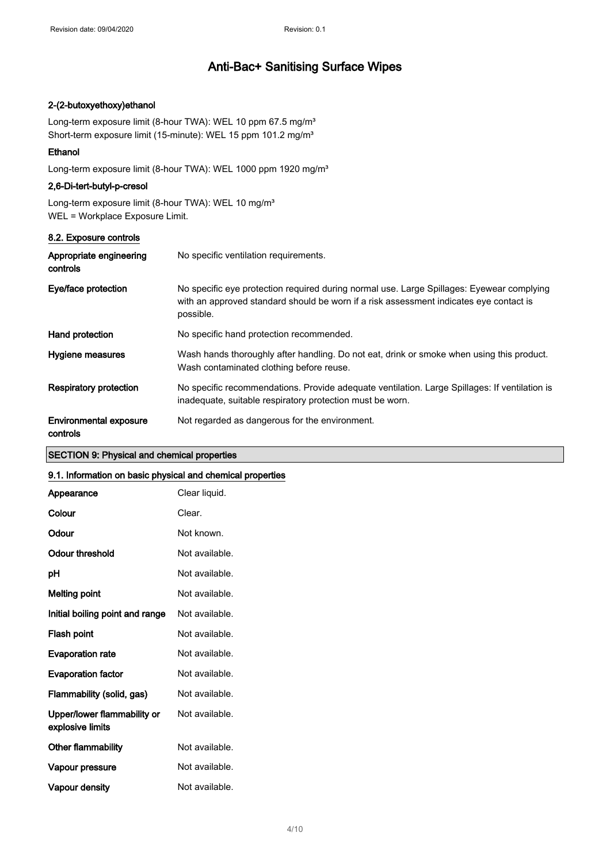### 2-(2-butoxyethoxy)ethanol

Long-term exposure limit (8-hour TWA): WEL 10 ppm 67.5 mg/m<sup>3</sup> Short-term exposure limit (15-minute): WEL 15 ppm 101.2 mg/m<sup>3</sup>

### Ethanol

Long-term exposure limit (8-hour TWA): WEL 1000 ppm 1920 mg/m<sup>3</sup>

## 2,6-Di-tert-butyl-p-cresol

Long-term exposure limit (8-hour TWA): WEL 10 mg/m<sup>3</sup> WEL = Workplace Exposure Limit.

| 8.2. Exposure controls                    |                                                                                                                                                                                                  |
|-------------------------------------------|--------------------------------------------------------------------------------------------------------------------------------------------------------------------------------------------------|
| Appropriate engineering<br>controls       | No specific ventilation requirements.                                                                                                                                                            |
| Eye/face protection                       | No specific eye protection required during normal use. Large Spillages: Eyewear complying<br>with an approved standard should be worn if a risk assessment indicates eye contact is<br>possible. |
| Hand protection                           | No specific hand protection recommended.                                                                                                                                                         |
| Hygiene measures                          | Wash hands thoroughly after handling. Do not eat, drink or smoke when using this product.<br>Wash contaminated clothing before reuse.                                                            |
| <b>Respiratory protection</b>             | No specific recommendations. Provide adequate ventilation. Large Spillages: If ventilation is<br>inadequate, suitable respiratory protection must be worn.                                       |
| <b>Environmental exposure</b><br>controls | Not regarded as dangerous for the environment.                                                                                                                                                   |

## SECTION 9: Physical and chemical properties

#### 9.1. Information on basic physical and chemical properties

| Appearance                                      | Clear liquid.  |
|-------------------------------------------------|----------------|
| Colour                                          | Clear.         |
| Odour                                           | Not known.     |
| Odour threshold                                 | Not available. |
| рH                                              | Not available. |
| Melting point                                   | Not available. |
| Initial boiling point and range                 | Not available. |
| Flash point                                     | Not available. |
| <b>Evaporation rate</b>                         | Not available. |
| <b>Evaporation factor</b>                       | Not available. |
| Flammability (solid, gas)                       | Not available. |
| Upper/lower flammability or<br>explosive limits | Not available. |
| <b>Other flammability</b>                       | Not available. |
| Vapour pressure                                 | Not available. |
| Vapour density                                  | Not available. |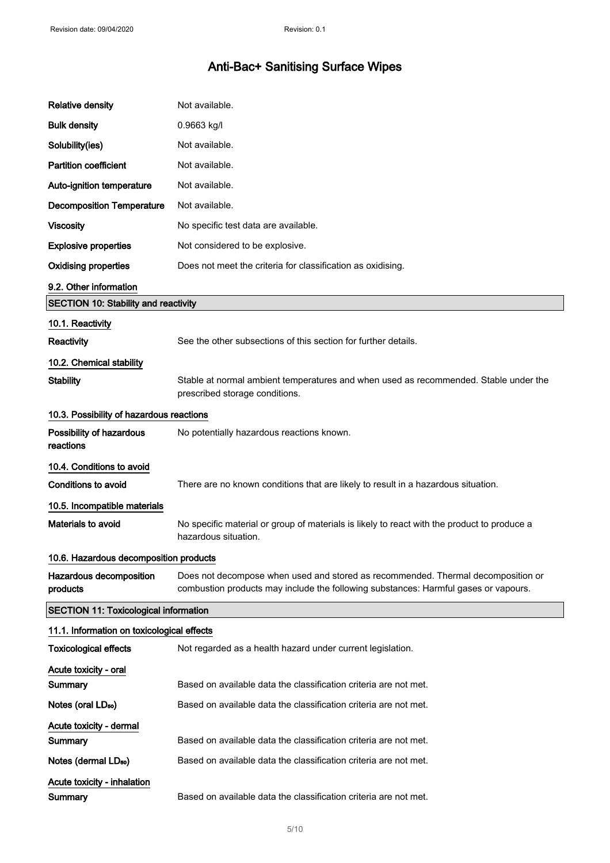| <b>Relative density</b>                      | Not available.                                                                                                                                                          |  |  |
|----------------------------------------------|-------------------------------------------------------------------------------------------------------------------------------------------------------------------------|--|--|
| <b>Bulk density</b>                          | 0.9663 kg/l                                                                                                                                                             |  |  |
| Solubility(ies)                              | Not available.                                                                                                                                                          |  |  |
| <b>Partition coefficient</b>                 | Not available.                                                                                                                                                          |  |  |
| Auto-ignition temperature                    | Not available.                                                                                                                                                          |  |  |
| <b>Decomposition Temperature</b>             | Not available.                                                                                                                                                          |  |  |
| <b>Viscosity</b>                             | No specific test data are available.                                                                                                                                    |  |  |
| <b>Explosive properties</b>                  | Not considered to be explosive.                                                                                                                                         |  |  |
| <b>Oxidising properties</b>                  | Does not meet the criteria for classification as oxidising.                                                                                                             |  |  |
| 9.2. Other information                       |                                                                                                                                                                         |  |  |
| <b>SECTION 10: Stability and reactivity</b>  |                                                                                                                                                                         |  |  |
| 10.1. Reactivity                             |                                                                                                                                                                         |  |  |
| Reactivity                                   | See the other subsections of this section for further details.                                                                                                          |  |  |
| 10.2. Chemical stability                     |                                                                                                                                                                         |  |  |
| <b>Stability</b>                             | Stable at normal ambient temperatures and when used as recommended. Stable under the<br>prescribed storage conditions.                                                  |  |  |
| 10.3. Possibility of hazardous reactions     |                                                                                                                                                                         |  |  |
| Possibility of hazardous<br>reactions        | No potentially hazardous reactions known.                                                                                                                               |  |  |
| 10.4. Conditions to avoid                    |                                                                                                                                                                         |  |  |
| <b>Conditions to avoid</b>                   | There are no known conditions that are likely to result in a hazardous situation.                                                                                       |  |  |
| 10.5. Incompatible materials                 |                                                                                                                                                                         |  |  |
| <b>Materials to avoid</b>                    | No specific material or group of materials is likely to react with the product to produce a<br>hazardous situation.                                                     |  |  |
| 10.6. Hazardous decomposition products       |                                                                                                                                                                         |  |  |
| Hazardous decomposition<br>products          | Does not decompose when used and stored as recommended. Thermal decomposition or<br>combustion products may include the following substances: Harmful gases or vapours. |  |  |
| <b>SECTION 11: Toxicological information</b> |                                                                                                                                                                         |  |  |
| 11.1. Information on toxicological effects   |                                                                                                                                                                         |  |  |
| <b>Toxicological effects</b>                 | Not regarded as a health hazard under current legislation.                                                                                                              |  |  |
| Acute toxicity - oral                        |                                                                                                                                                                         |  |  |
| Summary                                      | Based on available data the classification criteria are not met.                                                                                                        |  |  |
| Notes (oral LD <sub>50</sub> )               | Based on available data the classification criteria are not met.                                                                                                        |  |  |
| Acute toxicity - dermal                      |                                                                                                                                                                         |  |  |
| Summary                                      | Based on available data the classification criteria are not met.                                                                                                        |  |  |
| Notes (dermal LD <sub>50</sub> )             | Based on available data the classification criteria are not met.                                                                                                        |  |  |
| Acute toxicity - inhalation<br>Summary       | Based on available data the classification criteria are not met.                                                                                                        |  |  |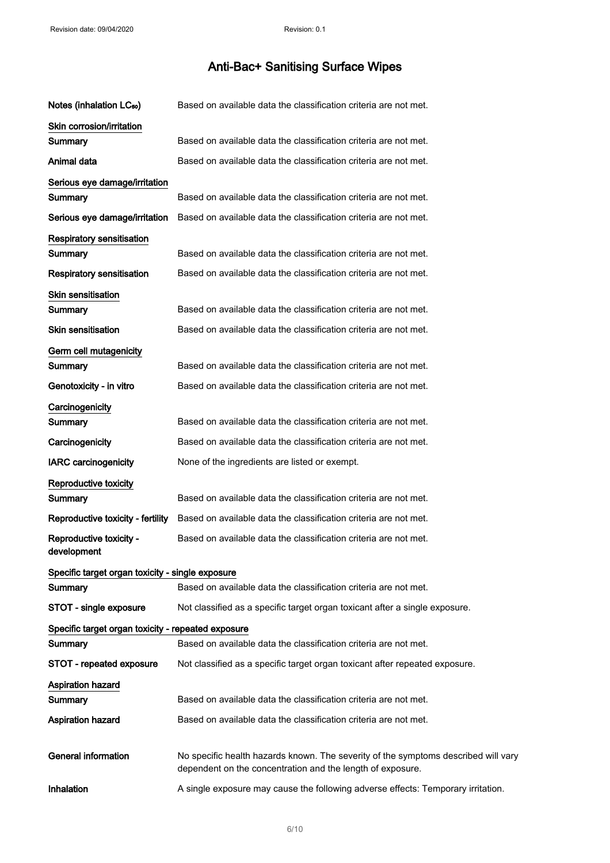| Notes (inhalation LC <sub>50</sub> )               | Based on available data the classification criteria are not met.                                                                                 |
|----------------------------------------------------|--------------------------------------------------------------------------------------------------------------------------------------------------|
| Skin corrosion/irritation<br>Summary               | Based on available data the classification criteria are not met.                                                                                 |
| Animal data                                        | Based on available data the classification criteria are not met.                                                                                 |
| Serious eye damage/irritation                      |                                                                                                                                                  |
| Summary                                            | Based on available data the classification criteria are not met.                                                                                 |
| Serious eye damage/irritation                      | Based on available data the classification criteria are not met.                                                                                 |
| <b>Respiratory sensitisation</b>                   |                                                                                                                                                  |
| Summary                                            | Based on available data the classification criteria are not met.                                                                                 |
| <b>Respiratory sensitisation</b>                   | Based on available data the classification criteria are not met.                                                                                 |
| <b>Skin sensitisation</b>                          |                                                                                                                                                  |
| Summary                                            | Based on available data the classification criteria are not met.                                                                                 |
| Skin sensitisation                                 | Based on available data the classification criteria are not met.                                                                                 |
| Germ cell mutagenicity                             |                                                                                                                                                  |
| Summary                                            | Based on available data the classification criteria are not met.                                                                                 |
| Genotoxicity - in vitro                            | Based on available data the classification criteria are not met.                                                                                 |
| Carcinogenicity                                    |                                                                                                                                                  |
| Summary                                            | Based on available data the classification criteria are not met.                                                                                 |
| Carcinogenicity                                    | Based on available data the classification criteria are not met.                                                                                 |
| <b>IARC carcinogenicity</b>                        | None of the ingredients are listed or exempt.                                                                                                    |
| Reproductive toxicity                              |                                                                                                                                                  |
| Summary                                            | Based on available data the classification criteria are not met.                                                                                 |
| Reproductive toxicity - fertility                  | Based on available data the classification criteria are not met.                                                                                 |
| Reproductive toxicity -<br>development             | Based on available data the classification criteria are not met.                                                                                 |
| Specific target organ toxicity - single exposure   |                                                                                                                                                  |
| Summarv                                            | Based on available data the classification criteria are not met.                                                                                 |
| STOT - single exposure                             | Not classified as a specific target organ toxicant after a single exposure.                                                                      |
| Specific target organ toxicity - repeated exposure |                                                                                                                                                  |
| Summary                                            | Based on available data the classification criteria are not met.                                                                                 |
| <b>STOT - repeated exposure</b>                    | Not classified as a specific target organ toxicant after repeated exposure.                                                                      |
| <b>Aspiration hazard</b>                           |                                                                                                                                                  |
| Summary                                            | Based on available data the classification criteria are not met.                                                                                 |
| <b>Aspiration hazard</b>                           | Based on available data the classification criteria are not met.                                                                                 |
| <b>General information</b>                         | No specific health hazards known. The severity of the symptoms described will vary<br>dependent on the concentration and the length of exposure. |
| Inhalation                                         | A single exposure may cause the following adverse effects: Temporary irritation.                                                                 |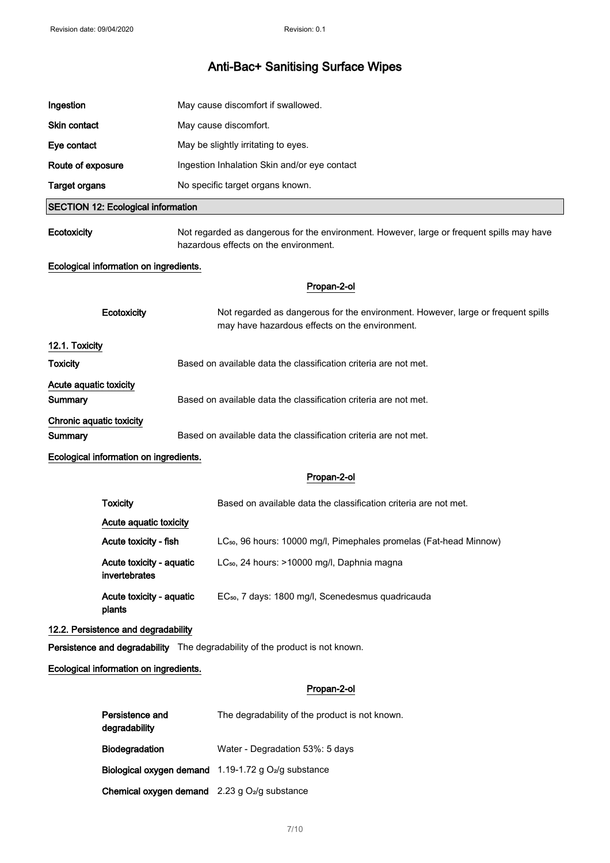| Ingestion                           |                                           | May cause discomfort if swallowed.                                                                                                 |
|-------------------------------------|-------------------------------------------|------------------------------------------------------------------------------------------------------------------------------------|
| Skin contact                        |                                           | May cause discomfort.                                                                                                              |
| Eye contact                         |                                           | May be slightly irritating to eyes.                                                                                                |
| Route of exposure                   |                                           | Ingestion Inhalation Skin and/or eye contact                                                                                       |
| <b>Target organs</b>                |                                           | No specific target organs known.                                                                                                   |
|                                     | <b>SECTION 12: Ecological information</b> |                                                                                                                                    |
| Ecotoxicity                         |                                           | Not regarded as dangerous for the environment. However, large or frequent spills may have<br>hazardous effects on the environment. |
|                                     | Ecological information on ingredients.    |                                                                                                                                    |
|                                     |                                           | Propan-2-ol                                                                                                                        |
|                                     | Ecotoxicity                               | Not regarded as dangerous for the environment. However, large or frequent spills<br>may have hazardous effects on the environment. |
| 12.1. Toxicity                      |                                           |                                                                                                                                    |
| <b>Toxicity</b>                     |                                           | Based on available data the classification criteria are not met.                                                                   |
| Acute aquatic toxicity<br>Summary   |                                           | Based on available data the classification criteria are not met.                                                                   |
| Chronic aquatic toxicity<br>Summary |                                           | Based on available data the classification criteria are not met.                                                                   |
|                                     | Ecological information on ingredients.    |                                                                                                                                    |
|                                     |                                           | Propan-2-ol                                                                                                                        |
|                                     | <b>Toxicity</b>                           | Based on available data the classification criteria are not met.                                                                   |
|                                     | Acute aquatic toxicity                    |                                                                                                                                    |
|                                     | Acute toxicity - fish                     | LC <sub>50</sub> , 96 hours: 10000 mg/l, Pimephales promelas (Fat-head Minnow)                                                     |
|                                     | Acute toxicity - aquatic<br>invertebrates | LC <sub>50</sub> , 24 hours: >10000 mg/l, Daphnia magna                                                                            |
|                                     | Acute toxicity - aquatic<br>plants        | EC <sub>50</sub> , 7 days: 1800 mg/l, Scenedesmus quadricauda                                                                      |
|                                     | 12.2. Persistence and degradability       |                                                                                                                                    |
|                                     |                                           | Persistence and degradability The degradability of the product is not known.                                                       |
|                                     | Ecological information on ingredients.    |                                                                                                                                    |
|                                     |                                           | Propan-2-ol                                                                                                                        |
|                                     | Persistence and<br>degradability          | The degradability of the product is not known.                                                                                     |
|                                     | Biodegradation                            | Water - Degradation 53%: 5 days                                                                                                    |
|                                     |                                           | Biological oxygen demand 1.19-1.72 g O <sub>2</sub> /g substance                                                                   |

Chemical oxygen demand  $2.23$  g O2/g substance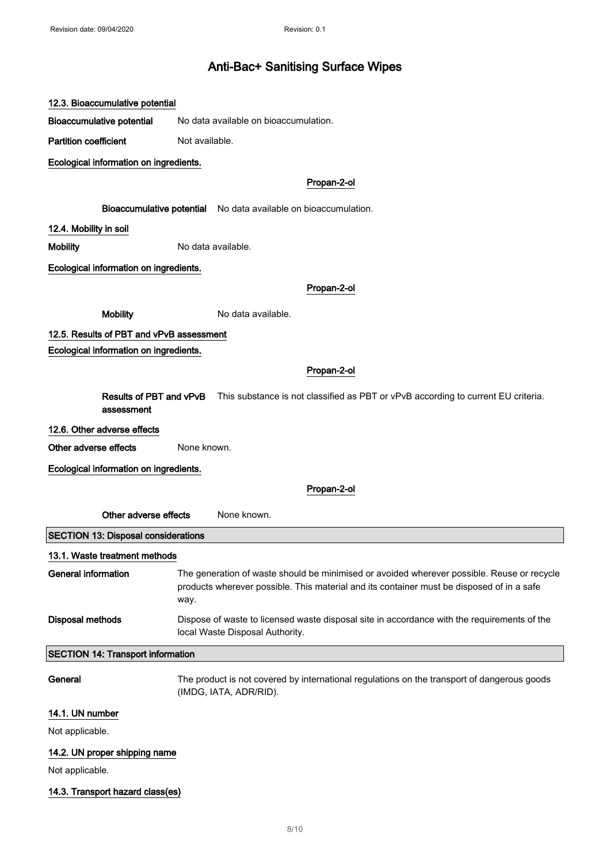| 12.3. Bioaccumulative potential                                                                                            |                                                                                                                                                                                                 |  |
|----------------------------------------------------------------------------------------------------------------------------|-------------------------------------------------------------------------------------------------------------------------------------------------------------------------------------------------|--|
| <b>Bioaccumulative potential</b>                                                                                           | No data available on bioaccumulation.                                                                                                                                                           |  |
| <b>Partition coefficient</b>                                                                                               | Not available.                                                                                                                                                                                  |  |
| Ecological information on ingredients.                                                                                     |                                                                                                                                                                                                 |  |
|                                                                                                                            | Propan-2-ol                                                                                                                                                                                     |  |
|                                                                                                                            | Bioaccumulative potential No data available on bioaccumulation.                                                                                                                                 |  |
| 12.4. Mobility in soil                                                                                                     |                                                                                                                                                                                                 |  |
| <b>Mobility</b>                                                                                                            | No data available.                                                                                                                                                                              |  |
| Ecological information on ingredients.                                                                                     |                                                                                                                                                                                                 |  |
|                                                                                                                            | Propan-2-ol                                                                                                                                                                                     |  |
| <b>Mobility</b>                                                                                                            | No data available.                                                                                                                                                                              |  |
| 12.5. Results of PBT and vPvB assessment                                                                                   |                                                                                                                                                                                                 |  |
| Ecological information on ingredients.                                                                                     |                                                                                                                                                                                                 |  |
|                                                                                                                            | Propan-2-ol                                                                                                                                                                                     |  |
| Results of PBT and vPvB<br>This substance is not classified as PBT or vPvB according to current EU criteria.<br>assessment |                                                                                                                                                                                                 |  |
| 12.6. Other adverse effects                                                                                                |                                                                                                                                                                                                 |  |
| Other adverse effects                                                                                                      | None known.                                                                                                                                                                                     |  |
| Ecological information on ingredients.                                                                                     |                                                                                                                                                                                                 |  |
|                                                                                                                            | Propan-2-ol                                                                                                                                                                                     |  |
| Other adverse effects                                                                                                      | None known.                                                                                                                                                                                     |  |
| <b>SECTION 13: Disposal considerations</b>                                                                                 |                                                                                                                                                                                                 |  |
| 13.1. Waste treatment methods                                                                                              |                                                                                                                                                                                                 |  |
| <b>General information</b>                                                                                                 | The generation of waste should be minimised or avoided wherever possible. Reuse or recycle<br>products wherever possible. This material and its container must be disposed of in a safe<br>way. |  |
| <b>Disposal methods</b>                                                                                                    | Dispose of waste to licensed waste disposal site in accordance with the requirements of the<br>local Waste Disposal Authority.                                                                  |  |
| <b>SECTION 14: Transport information</b>                                                                                   |                                                                                                                                                                                                 |  |
| General                                                                                                                    | The product is not covered by international regulations on the transport of dangerous goods<br>(IMDG, IATA, ADR/RID).                                                                           |  |
| 14.1. UN number                                                                                                            |                                                                                                                                                                                                 |  |
| Not applicable.                                                                                                            |                                                                                                                                                                                                 |  |
| 14.2. UN proper shipping name                                                                                              |                                                                                                                                                                                                 |  |
| Not applicable.                                                                                                            |                                                                                                                                                                                                 |  |

# 14.3. Transport hazard class(es)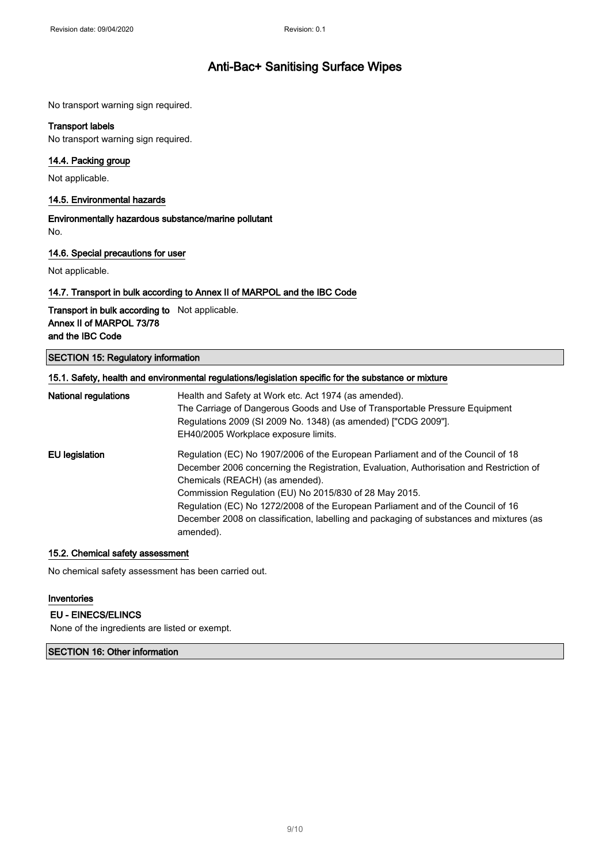No transport warning sign required.

#### Transport labels

No transport warning sign required.

### 14.4. Packing group

Not applicable.

### 14.5. Environmental hazards

Environmentally hazardous substance/marine pollutant No.

### 14.6. Special precautions for user

Not applicable.

### 14.7. Transport in bulk according to Annex II of MARPOL and the IBC Code

Transport in bulk according to Not applicable. Annex II of MARPOL 73/78 and the IBC Code

## SECTION 15: Regulatory information

|                      | 15.1. Safety, health and environmental regulations/legislation specific for the substance or mixture |
|----------------------|------------------------------------------------------------------------------------------------------|
| National regulations | Health and Safety at Work etc. Act 1974 (as amended).                                                |
|                      | The Carriage of Dangerous Goods and Use of Transportable Pressure Equipment                          |
|                      | Regulations 2009 (SI 2009 No. 1348) (as amended) ["CDG 2009"].                                       |
|                      | EH40/2005 Workplace exposure limits.                                                                 |
| EU legislation       | Regulation (EC) No 1907/2006 of the European Parliament and of the Council of 18                     |
|                      | December 2006 concerning the Registration, Evaluation, Authorisation and Restriction of              |
|                      | Chemicals (REACH) (as amended).                                                                      |
|                      | Commission Regulation (EU) No 2015/830 of 28 May 2015.                                               |
|                      | Regulation (EC) No 1272/2008 of the European Parliament and of the Council of 16                     |
|                      | December 2008 on classification, labelling and packaging of substances and mixtures (as              |
|                      | amended).                                                                                            |

#### 15.2. Chemical safety assessment

No chemical safety assessment has been carried out.

#### Inventories

## EU - EINECS/ELINCS

None of the ingredients are listed or exempt.

## SECTION 16: Other information